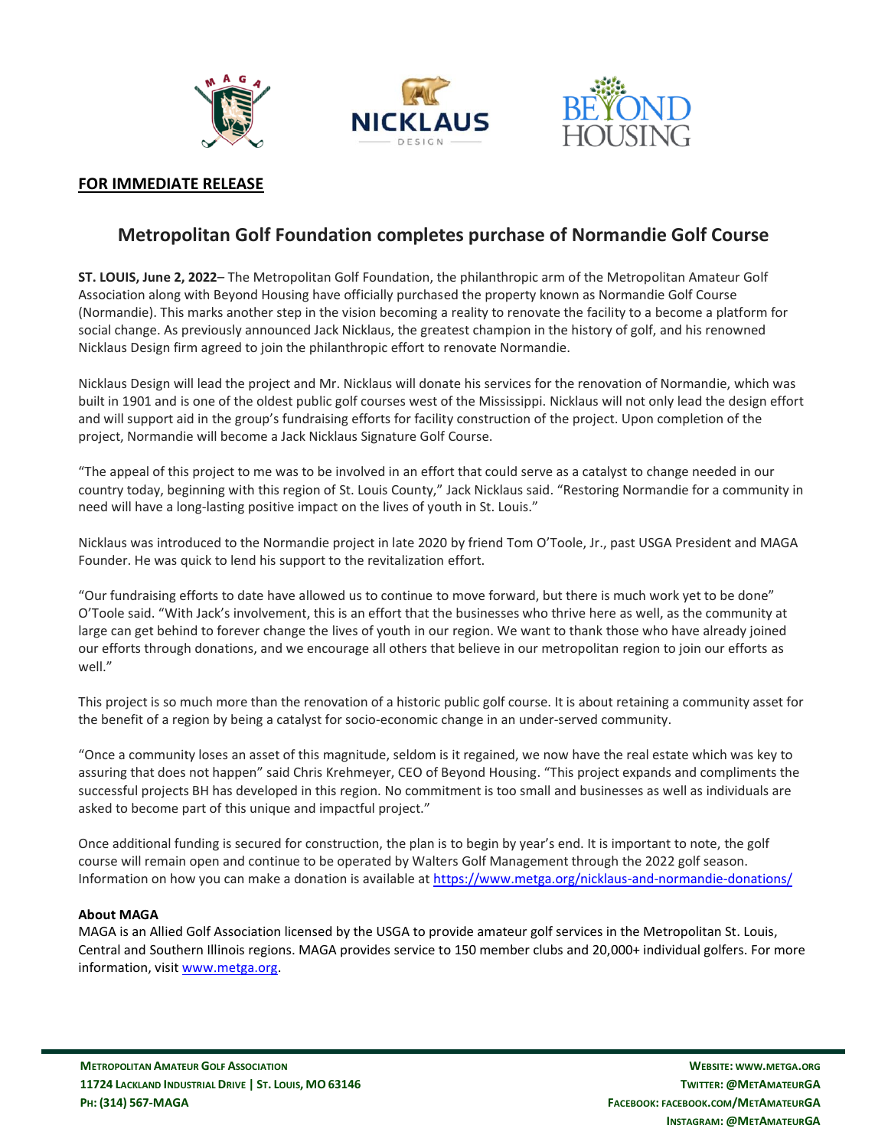





## **FOR IMMEDIATE RELEASE**

# **Metropolitan Golf Foundation completes purchase of Normandie Golf Course**

**ST. LOUIS, June 2, 2022**– The Metropolitan Golf Foundation, the philanthropic arm of the Metropolitan Amateur Golf Association along with Beyond Housing have officially purchased the property known as Normandie Golf Course (Normandie). This marks another step in the vision becoming a reality to renovate the facility to a become a platform for social change. As previously announced Jack Nicklaus, the greatest champion in the history of golf, and his renowned Nicklaus Design firm agreed to join the philanthropic effort to renovate Normandie.

Nicklaus Design will lead the project and Mr. Nicklaus will donate his services for the renovation of Normandie, which was built in 1901 and is one of the oldest public golf courses west of the Mississippi. Nicklaus will not only lead the design effort and will support aid in the group's fundraising efforts for facility construction of the project. Upon completion of the project, Normandie will become a Jack Nicklaus Signature Golf Course.

"The appeal of this project to me was to be involved in an effort that could serve as a catalyst to change needed in our country today, beginning with this region of St. Louis County," Jack Nicklaus said. "Restoring Normandie for a community in need will have a long-lasting positive impact on the lives of youth in St. Louis."

Nicklaus was introduced to the Normandie project in late 2020 by friend Tom O'Toole, Jr., past USGA President and MAGA Founder. He was quick to lend his support to the revitalization effort.

"Our fundraising efforts to date have allowed us to continue to move forward, but there is much work yet to be done" O'Toole said. "With Jack's involvement, this is an effort that the businesses who thrive here as well, as the community at large can get behind to forever change the lives of youth in our region. We want to thank those who have already joined our efforts through donations, and we encourage all others that believe in our metropolitan region to join our efforts as well."

This project is so much more than the renovation of a historic public golf course. It is about retaining a community asset for the benefit of a region by being a catalyst for socio-economic change in an under-served community.

"Once a community loses an asset of this magnitude, seldom is it regained, we now have the real estate which was key to assuring that does not happen" said Chris Krehmeyer, CEO of Beyond Housing. "This project expands and compliments the successful projects BH has developed in this region. No commitment is too small and businesses as well as individuals are asked to become part of this unique and impactful project."

Once additional funding is secured for construction, the plan is to begin by year's end. It is important to note, the golf course will remain open and continue to be operated by Walters Golf Management through the 2022 golf season. Information on how you can make a donation is available at<https://www.metga.org/nicklaus-and-normandie-donations/>

#### **About MAGA**

MAGA is an Allied Golf Association licensed by the USGA to provide amateur golf services in the Metropolitan St. Louis, Central and Southern Illinois regions. MAGA provides service to 150 member clubs and 20,000+ individual golfers. For more information, visit [www.metga.org.](http://www.metga.org/)